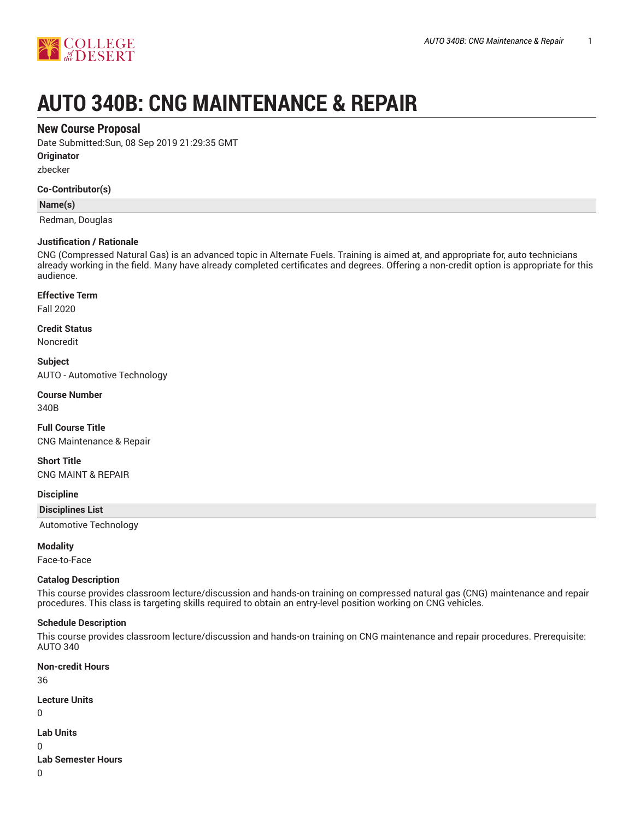

# **AUTO 340B: CNG MAINTENANCE & REPAIR**

#### **New Course Proposal**

Date Submitted:Sun, 08 Sep 2019 21:29:35 GMT

**Originator**

zbecker

#### **Co-Contributor(s)**

#### **Name(s)**

Redman, Douglas

#### **Justification / Rationale**

CNG (Compressed Natural Gas) is an advanced topic in Alternate Fuels. Training is aimed at, and appropriate for, auto technicians already working in the field. Many have already completed certificates and degrees. Offering a non-credit option is appropriate for this audience.

#### **Effective Term**

Fall 2020

#### **Credit Status**

Noncredit

**Subject** AUTO - Automotive Technology

**Course Number**

340B

**Full Course Title** CNG Maintenance & Repair

#### **Short Title**

CNG MAINT & REPAIR

**Discipline**

**Disciplines List**

Automotive Technology

#### **Modality**

Face-to-Face

#### **Catalog Description**

This course provides classroom lecture/discussion and hands-on training on compressed natural gas (CNG) maintenance and repair procedures. This class is targeting skills required to obtain an entry-level position working on CNG vehicles.

#### **Schedule Description**

This course provides classroom lecture/discussion and hands-on training on CNG maintenance and repair procedures. Prerequisite: AUTO 340

**Non-credit Hours** 36 **Lecture Units** 0 **Lab Units** 0 **Lab Semester Hours**

0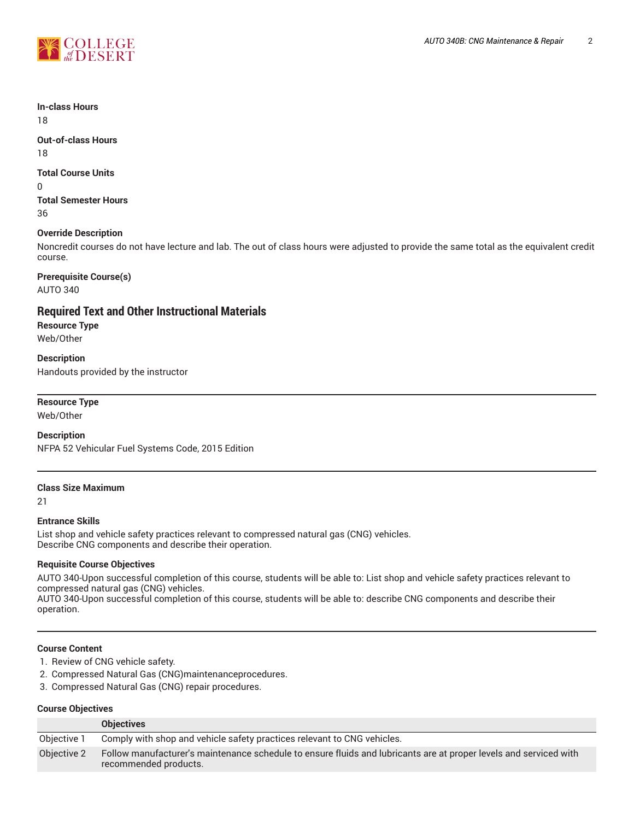

# **In-class Hours**

18

#### **Out-of-class Hours** 18

#### **Total Course Units**

0

**Total Semester Hours** 36

#### **Override Description**

Noncredit courses do not have lecture and lab. The out of class hours were adjusted to provide the same total as the equivalent credit course.

## **Prerequisite Course(s)**

AUTO 340

#### **Required Text and Other Instructional Materials**

**Resource Type** Web/Other

**Description** Handouts provided by the instructor

#### **Resource Type**

Web/Other

#### **Description**

NFPA 52 Vehicular Fuel Systems Code, 2015 Edition

#### **Class Size Maximum**

21

#### **Entrance Skills**

List shop and vehicle safety practices relevant to compressed natural gas (CNG) vehicles. Describe CNG components and describe their operation.

#### **Requisite Course Objectives**

AUTO 340-Upon successful completion of this course, students will be able to: List shop and vehicle safety practices relevant to compressed natural gas (CNG) vehicles. AUTO 340-Upon successful completion of this course, students will be able to: describe CNG components and describe their

#### **Course Content**

operation.

- 1. Review of CNG vehicle safety.
- 2. Compressed Natural Gas (CNG)maintenanceprocedures.
- 3. Compressed Natural Gas (CNG) repair procedures.

#### **Course Objectives**

|             | <b>Objectives</b>                                                                                                                          |
|-------------|--------------------------------------------------------------------------------------------------------------------------------------------|
| Objective 1 | Comply with shop and vehicle safety practices relevant to CNG vehicles.                                                                    |
| Objective 2 | Follow manufacturer's maintenance schedule to ensure fluids and lubricants are at proper levels and serviced with<br>recommended products. |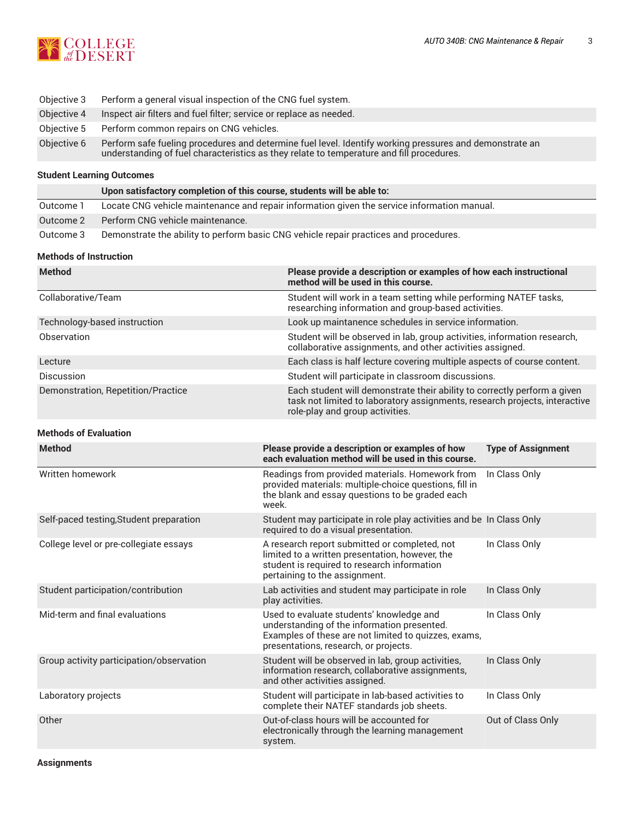

| Objective 3 | Perform a general visual inspection of the CNG fuel system.                                                                                                                                         |
|-------------|-----------------------------------------------------------------------------------------------------------------------------------------------------------------------------------------------------|
| Objective 4 | Inspect air filters and fuel filter; service or replace as needed.                                                                                                                                  |
| Obiective 5 | Perform common repairs on CNG vehicles.                                                                                                                                                             |
| Objective 6 | Perform safe fueling procedures and determine fuel level. Identify working pressures and demonstrate an<br>understanding of fuel characteristics as they relate to temperature and fill procedures. |

#### **Student Learning Outcomes**

|           | Upon satisfactory completion of this course, students will be able to:                      |  |
|-----------|---------------------------------------------------------------------------------------------|--|
| Outcome 1 | Locate CNG vehicle maintenance and repair information given the service information manual. |  |
| Outcome 2 | Perform CNG vehicle maintenance.                                                            |  |
| Outcome 3 | Demonstrate the ability to perform basic CNG vehicle repair practices and procedures.       |  |

#### **Methods of Instruction**

| <b>Method</b>                      | Please provide a description or examples of how each instructional<br>method will be used in this course.                                                                                 |
|------------------------------------|-------------------------------------------------------------------------------------------------------------------------------------------------------------------------------------------|
| Collaborative/Team                 | Student will work in a team setting while performing NATEF tasks,<br>researching information and group-based activities.                                                                  |
| Technology-based instruction       | Look up maintanence schedules in service information.                                                                                                                                     |
| Observation                        | Student will be observed in lab, group activities, information research,<br>collaborative assignments, and other activities assigned.                                                     |
| Lecture                            | Each class is half lecture covering multiple aspects of course content.                                                                                                                   |
| <b>Discussion</b>                  | Student will participate in classroom discussions.                                                                                                                                        |
| Demonstration, Repetition/Practice | Each student will demonstrate their ability to correctly perform a given<br>task not limited to laboratory assignments, research projects, interactive<br>role-play and group activities. |

#### **Methods of Evaluation**

| <b>Method</b>                            | Please provide a description or examples of how<br>each evaluation method will be used in this course.                                                                                   | <b>Type of Assignment</b> |
|------------------------------------------|------------------------------------------------------------------------------------------------------------------------------------------------------------------------------------------|---------------------------|
| Written homework                         | Readings from provided materials. Homework from<br>provided materials: multiple-choice questions, fill in<br>the blank and essay questions to be graded each<br>week.                    | In Class Only             |
| Self-paced testing, Student preparation  | Student may participate in role play activities and be In Class Only<br>required to do a visual presentation.                                                                            |                           |
| College level or pre-collegiate essays   | A research report submitted or completed, not<br>limited to a written presentation, however, the<br>student is required to research information<br>pertaining to the assignment.         | In Class Only             |
| Student participation/contribution       | Lab activities and student may participate in role<br>play activities.                                                                                                                   | In Class Only             |
| Mid-term and final evaluations           | Used to evaluate students' knowledge and<br>understanding of the information presented.<br>Examples of these are not limited to quizzes, exams,<br>presentations, research, or projects. | In Class Only             |
| Group activity participation/observation | Student will be observed in lab, group activities,<br>information research, collaborative assignments,<br>and other activities assigned.                                                 | In Class Only             |
| Laboratory projects                      | Student will participate in lab-based activities to<br>complete their NATEF standards job sheets.                                                                                        | In Class Only             |
| Other                                    | Out-of-class hours will be accounted for<br>electronically through the learning management<br>system.                                                                                    | Out of Class Only         |

**Assignments**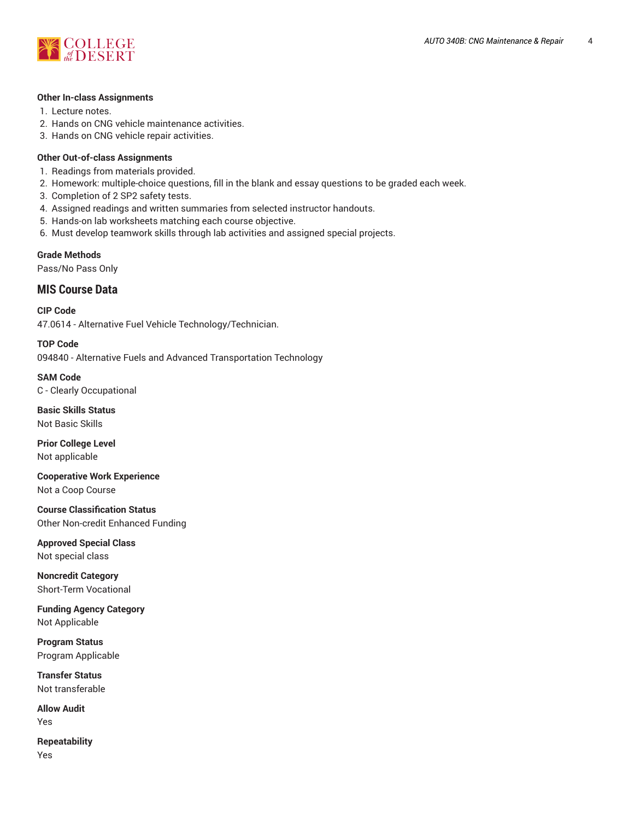

#### **Other In-class Assignments**

- 1. Lecture notes.
- 2. Hands on CNG vehicle maintenance activities.
- 3. Hands on CNG vehicle repair activities.

#### **Other Out-of-class Assignments**

- 1. Readings from materials provided.
- 2. Homework: multiple-choice questions, fill in the blank and essay questions to be graded each week.
- 3. Completion of 2 SP2 safety tests.
- 4. Assigned readings and written summaries from selected instructor handouts.
- 5. Hands-on lab worksheets matching each course objective.
- 6. Must develop teamwork skills through lab activities and assigned special projects.

**Grade Methods**

Pass/No Pass Only

#### **MIS Course Data**

**CIP Code** 47.0614 - Alternative Fuel Vehicle Technology/Technician.

**TOP Code** 094840 - Alternative Fuels and Advanced Transportation Technology

**SAM Code** C - Clearly Occupational

**Basic Skills Status** Not Basic Skills

**Prior College Level** Not applicable

**Cooperative Work Experience** Not a Coop Course

**Course Classification Status** Other Non-credit Enhanced Funding

**Approved Special Class** Not special class

**Noncredit Category** Short-Term Vocational

**Funding Agency Category** Not Applicable

**Program Status** Program Applicable

**Transfer Status** Not transferable

**Allow Audit** Yes

**Repeatability** Yes